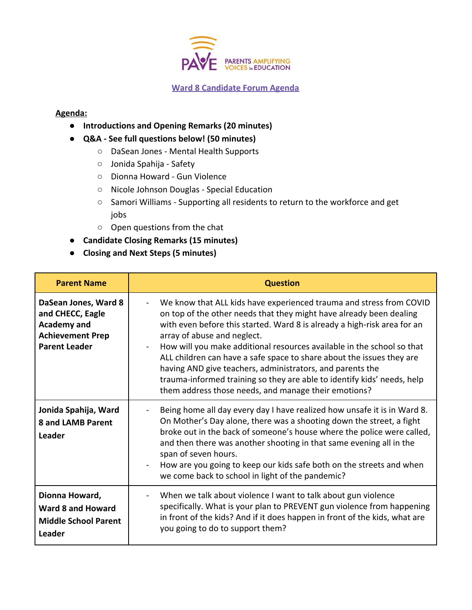

## **Ward 8 Candidate Forum Agenda**

## **Agenda:**

- **Introductions and Opening Remarks (20 minutes)**
- **Q&A See full questions below! (50 minutes)**
	- DaSean Jones Mental Health Supports
	- Jonida Spahija Safety
	- Dionna Howard Gun Violence
	- Nicole Johnson Douglas Special Education
	- Samori Williams Supporting all residents to return to the workforce and get jobs
	- Open questions from the chat
- **Candidate Closing Remarks (15 minutes)**
- **● Closing and Next Steps (5 minutes)**

| <b>Parent Name</b>                                                                                                | <b>Question</b>                                                                                                                                                                                                                                                                                                                                                                                                                                                                                                                                                                                          |
|-------------------------------------------------------------------------------------------------------------------|----------------------------------------------------------------------------------------------------------------------------------------------------------------------------------------------------------------------------------------------------------------------------------------------------------------------------------------------------------------------------------------------------------------------------------------------------------------------------------------------------------------------------------------------------------------------------------------------------------|
| DaSean Jones, Ward 8<br>and CHECC, Eagle<br><b>Academy and</b><br><b>Achievement Prep</b><br><b>Parent Leader</b> | We know that ALL kids have experienced trauma and stress from COVID<br>on top of the other needs that they might have already been dealing<br>with even before this started. Ward 8 is already a high-risk area for an<br>array of abuse and neglect.<br>How will you make additional resources available in the school so that<br>ALL children can have a safe space to share about the issues they are<br>having AND give teachers, administrators, and parents the<br>trauma-informed training so they are able to identify kids' needs, help<br>them address those needs, and manage their emotions? |
| Jonida Spahija, Ward<br><b>8 and LAMB Parent</b><br>Leader                                                        | Being home all day every day I have realized how unsafe it is in Ward 8.<br>On Mother's Day alone, there was a shooting down the street, a fight<br>broke out in the back of someone's house where the police were called,<br>and then there was another shooting in that same evening all in the<br>span of seven hours.<br>How are you going to keep our kids safe both on the streets and when<br>we come back to school in light of the pandemic?                                                                                                                                                    |
| Dionna Howard,<br><b>Ward 8 and Howard</b><br><b>Middle School Parent</b><br>Leader                               | When we talk about violence I want to talk about gun violence<br>specifically. What is your plan to PREVENT gun violence from happening<br>in front of the kids? And if it does happen in front of the kids, what are<br>you going to do to support them?                                                                                                                                                                                                                                                                                                                                                |